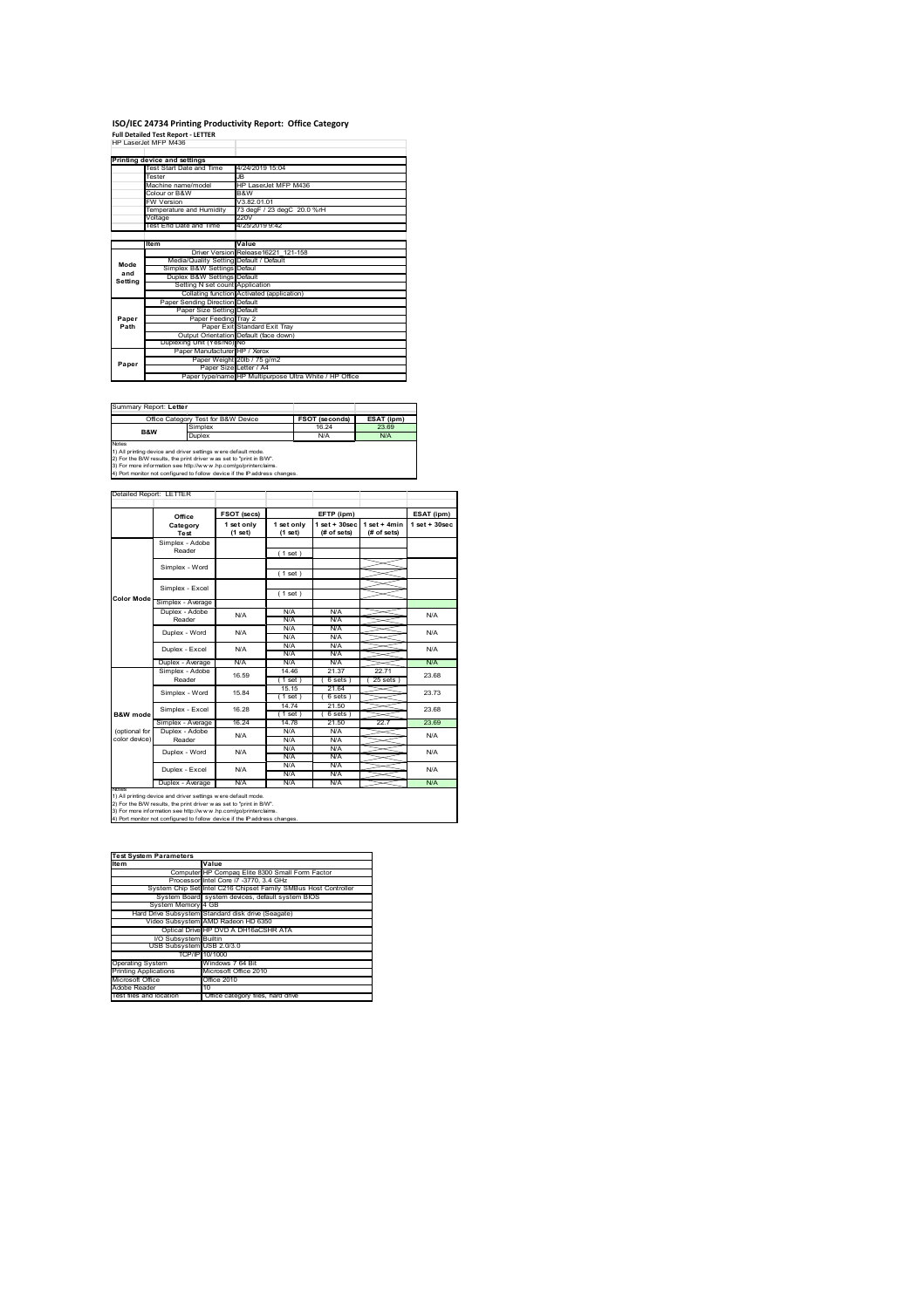# **ISO/IEC 24734 Printing Productivity Report: Office Category Full Detailed Test Report ‐ LETTER** HP LaserJet MFP M436

|         | Printing device and settings            |                                                         |
|---------|-----------------------------------------|---------------------------------------------------------|
|         | Test Start Date and Time                | 4/24/2019 15:04                                         |
|         | Tester                                  | æ.                                                      |
|         | Machine name/model                      | HP Laseclet MFP M436                                    |
|         | Colour or B&W                           | B&W                                                     |
|         | <b>FW Version</b>                       | V3 82 01 01                                             |
|         | Temperature and Humidity                | 73 degF / 23 degC 20.0 %rH                              |
|         | Voltage                                 | 22ftV                                                   |
|         | Test End Date and Time                  | 4/25/2019 9:42                                          |
|         |                                         |                                                         |
|         | <b>Item</b>                             | Value                                                   |
|         |                                         | Driver Version Release 16221 121-158                    |
| Mode    | Media/Quality Setting Default / Default |                                                         |
| and     | Simplex B&W Settings Defaul             |                                                         |
|         | Duplex B&W Settings Default             |                                                         |
| Setting | Setting N set count Application         |                                                         |
|         |                                         | Collating function Activated (application)              |
|         | Paper Sending Direction Default         |                                                         |
|         | Paper Size Setting Default              |                                                         |
| Paper   | Paper Feeding Tray 2                    |                                                         |
| Path    |                                         | Paper Exit Standard Exit Trav                           |
|         |                                         | Output Orientation Default (face down)                  |
|         | Duplexing Unit (Yes/No) No              |                                                         |
|         | Paper Manufacturer HP / Xerox           |                                                         |
|         |                                         | Paper Weight 20lb / 75 g/m2                             |
| Paper   | Paper Size Letter / A4                  |                                                         |
|         |                                         | Paper type/name HP Multipurpose Ultra White / HP Office |

Summary Report: **Letter**

|                | Office Category Test for B&W Device                                 | FSOT (seconds) | ESAT (ipm) |
|----------------|---------------------------------------------------------------------|----------------|------------|
| <b>R&amp;W</b> | Simplex                                                             | 16.24          | 23.69      |
|                | Dunley                                                              | N/A            | <b>N/A</b> |
| Notes          |                                                                     |                |            |
|                | 1) All printing device and driver settings were default mode.       |                |            |
|                | 2) For the B/W results, the print driver was set to "print in B/W". |                |            |
|                | 3) For more information see http://www.hp.com/polorinterclaims      |                |            |

3) For more information see http://w w w .hp.com/go/printerclaims. 4) Port monitor not configured to follow device if the IP address changes.

|                     | Office            | FSOT (secs)                       |                      | EFTP (ipm)                        |                               | ESAT (ipm)      |
|---------------------|-------------------|-----------------------------------|----------------------|-----------------------------------|-------------------------------|-----------------|
|                     | Category<br>Test  | 1 set only<br>(1 <sub>set</sub> ) | 1 set only<br>(1.90) | $1$ set + $30$ sec<br>(# of sets) | $1$ set + 4min<br>(# of sets) | $1$ set + 30sec |
|                     | Simplex - Adobe   |                                   |                      |                                   |                               |                 |
|                     | Reader            |                                   | (1 set)              |                                   |                               |                 |
|                     |                   |                                   |                      |                                   |                               |                 |
|                     | Simplex - Word    |                                   | (1 set)              |                                   |                               |                 |
|                     | Simplex - Excel   |                                   |                      |                                   |                               |                 |
| Color Mode          |                   |                                   | (1 set)              |                                   |                               |                 |
|                     | Simplex - Average |                                   |                      |                                   |                               |                 |
|                     | Duplex - Adobe    | N/A                               | N/A                  | N/A                               |                               | N/A             |
|                     | Reader            |                                   | N/A                  | N/A                               |                               |                 |
|                     | Duplex - Word     | N/A                               | N/A                  | N/A                               |                               | N/A             |
|                     |                   |                                   | N/A                  | N/A                               |                               |                 |
|                     | Duplex - Excel    | N/A                               | N/A<br>N/A           | N/A<br>N/A                        |                               | N/A             |
|                     | Duplex - Average  | N/A                               | N/A                  | N/A                               |                               | <b>N/A</b>      |
|                     | Simplex - Adobe   |                                   | 14.46                | 21.37                             | 22.71                         |                 |
|                     | Reader            | 16.59                             | (1 set)              | 6 sets                            | $25$ sets                     | 23.68           |
|                     | Simplex - Word    | 15.84                             | 15.15                | 21.64                             |                               | 23.73           |
|                     |                   |                                   | $1$ set i            | 6 sets                            |                               |                 |
|                     | Simplex - Excel   | 16.28                             | 14.74                | 21.50                             |                               | 23.68           |
| <b>R&amp;W</b> mode |                   |                                   | $1$ set $1$          | 6 sets                            |                               |                 |
|                     | Simplex - Average | 16.24                             | 14.78                | 21.50                             | 227                           | 23.69           |
| (optional for       | Duplex - Adobe    | N/A                               | N/A                  | N/A                               |                               | N/A             |
| color device)       | Reader            |                                   | N/A                  | N/A                               |                               |                 |
|                     | Duplex - Word     | <b>N/A</b>                        | N/A                  | N/A                               |                               | N/A             |
|                     |                   |                                   | N/A                  | N/A                               |                               |                 |
|                     | Duplex - Excel    | N/A                               | N/A                  | N/A                               |                               | N/A             |
|                     |                   |                                   | N/A                  | N/A                               |                               |                 |
|                     | Duplex - Average  | <b>N/A</b>                        | N/A                  | N/A                               |                               | <b>N/A</b>      |

| <b>Test System Parameters</b> |                                                                 |  |  |  |
|-------------------------------|-----------------------------------------------------------------|--|--|--|
| Item                          | Value                                                           |  |  |  |
|                               | Computer HP Compag Elite 8300 Small Form Factor                 |  |  |  |
|                               | Processor Intel Core i7 -3770. 3.4 GHz                          |  |  |  |
|                               | System Chip Set Intel C216 Chipset Family SMBus Host Controller |  |  |  |
|                               | System Board system devices, default system BIOS                |  |  |  |
| System Memory 4 GB            |                                                                 |  |  |  |
|                               | Hard Drive Subsystem Standard disk drive (Seagate)              |  |  |  |
|                               | Video Subsystem AMD Radeon HD 6350                              |  |  |  |
|                               | Optical Drive HP DVD A DH16aCSHR ATA                            |  |  |  |
| VO Subsystem Builtin          |                                                                 |  |  |  |
| USB Subsystem USB 2.0/3.0     |                                                                 |  |  |  |
|                               | <b>TCP/IP 10/1000</b>                                           |  |  |  |
| Operating System              | Windows 7 64 Bit                                                |  |  |  |
| Printing Applications         | Microsoft Office 2010                                           |  |  |  |
| Microsoft Office              | Office 2010                                                     |  |  |  |
| Adobe Reader                  | 10                                                              |  |  |  |
| Test files and location       | Office category files, hard drive                               |  |  |  |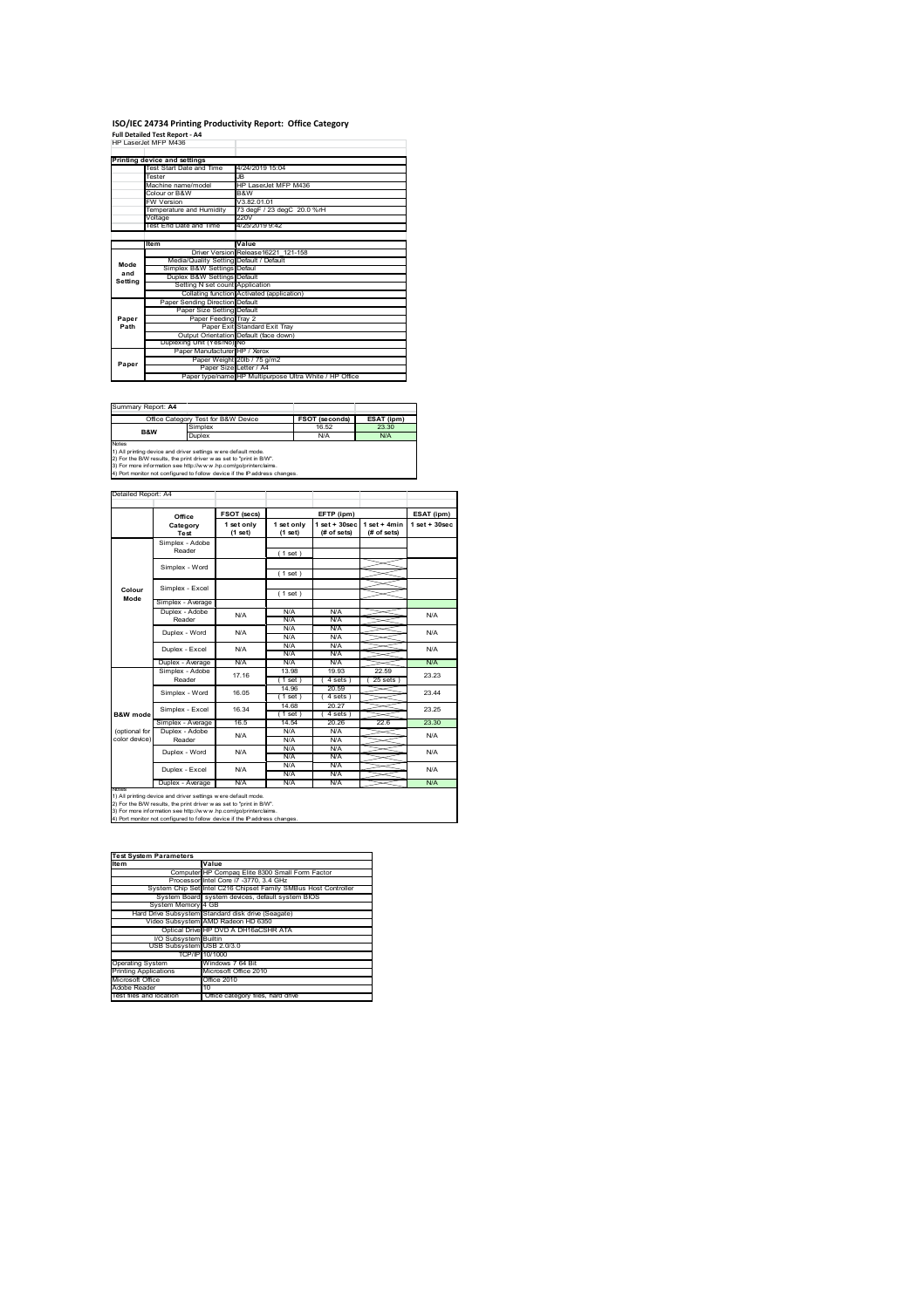# **ISO/IEC 24734 Printing Productivity Report: Office Category Full Detailed Test Report ‐ A4** HP LaserJet MFP M436

|         | Printing device and settings            |                                                         |  |
|---------|-----------------------------------------|---------------------------------------------------------|--|
|         | Test Start Date and Time                | 4/24/2019 15:04                                         |  |
|         | Tester                                  | ारि                                                     |  |
|         | Machine name/model                      | HP LaserJet MFP M436                                    |  |
|         | Colour or R&W                           | <b>R&amp;W</b>                                          |  |
|         | FW Version                              | V3.82.01.01                                             |  |
|         | Temperature and Humidity                | 73 degF / 23 degC 20.0 %rH                              |  |
|         | Voltage                                 | 22ftV                                                   |  |
|         | Test End Date and Time                  | 4/25/2019 9:42                                          |  |
|         |                                         |                                                         |  |
|         | <b>Item</b>                             | Value                                                   |  |
|         |                                         | Driver Version Release 16221 121-158                    |  |
| Mode    | Media/Quality Setting Default / Default |                                                         |  |
| and     | Simplex B&W Settings Defaul             |                                                         |  |
|         | Duplex B&W Settings Default             |                                                         |  |
| Setting | Setting N set count Application         |                                                         |  |
|         |                                         | Collating function Activated (application)              |  |
|         | Paper Sending Direction Default         |                                                         |  |
|         | Paper Size Setting Default              |                                                         |  |
| Paper   | Paper Feeding Tray 2                    |                                                         |  |
| Path    |                                         | Paper Exit Standard Exit Trav                           |  |
|         |                                         | Output Orientation Default (face down)                  |  |
|         | Duplexing Unit (Yes/No) No              |                                                         |  |
|         | Paper Manufacturer HP / Xerox           |                                                         |  |
|         |                                         | Paper Weight 20lb / 75 g/m2                             |  |
| Paper   | Paper Size Letter / A4                  |                                                         |  |
|         |                                         | Paper type/name HP Multipurpose Ultra White / HP Office |  |

Summary Report: **A4**

**FSOT (seconds) ESAT (ipm)** Simplex 23.30 Duplex N/A N/A N/A Office Category Test for B&W Device **B&W** Notes<br>11 Ail printing device and driver settings were default mode.<br>2) For the BIW results, the print driver was set to "print in BIW".<br>3) For more information see http://www.hp.com/go/printerclaims.<br>4) Port monitor not co

|                                | Office            | FSOT (secs)                       |                      | EFTP (ipm)                        |                               | ESAT (ipm)      |
|--------------------------------|-------------------|-----------------------------------|----------------------|-----------------------------------|-------------------------------|-----------------|
|                                | Category<br>Test  | 1 set only<br>(1 <sub>set</sub> ) | 1 set only<br>(1.90) | $1$ set + $30$ sec<br>(# of sets) | $1$ set + 4min<br>(# of sets) | $1$ set + 30sec |
|                                | Simplex - Adobe   |                                   |                      |                                   |                               |                 |
|                                | Reader            |                                   | (1 set)              |                                   |                               |                 |
|                                |                   |                                   |                      |                                   |                               |                 |
|                                | Simplex - Word    |                                   | (1 set)              |                                   |                               |                 |
|                                | Simplex - Excel   |                                   |                      |                                   |                               |                 |
| Colour<br>Mode                 |                   |                                   | (1 set)              |                                   |                               |                 |
|                                | Simplex - Average |                                   |                      |                                   |                               |                 |
|                                | Duplex - Adobe    | N/A                               | N/A                  | N/A                               |                               | N/A             |
|                                | Reader            |                                   | N/A                  | N/A                               |                               |                 |
|                                | Duplex - Word     | N/A                               | N/A                  | N/A                               |                               | N/A             |
|                                |                   |                                   | N/A                  | N/A                               |                               |                 |
|                                | Duplex - Excel    | N/A                               | N/A                  | N/A                               |                               | N/A             |
|                                |                   |                                   | N/A                  | N/A                               |                               |                 |
|                                | Duplex - Average  | N/A                               | N/A                  | N/A                               |                               | <b>N/A</b>      |
|                                | Simplex - Adobe   | 17.16                             | 13 98                | 19 93                             | 22.59                         | 23.23           |
|                                | Reader            |                                   | (1 set)              | 4 sets                            | $26$ sets                     |                 |
|                                | Simplex - Word    | 16.05                             | 14 96                | 20.69                             |                               | 23.44           |
|                                |                   |                                   | (1 set)              | 4 sets 1                          |                               |                 |
|                                | Simplex - Excel   | 16.34                             | 14 RR                | 20.27                             |                               | 23.25           |
| <b>R&amp;W</b> mode            |                   |                                   | $1$ set $1$          | 4 sets                            |                               |                 |
|                                | Simplex - Average | 16.5                              | 14.54<br>N/A         | 20.26<br>N/A                      | 22 R                          | 23.30           |
| (optional for<br>color device) | Duplex - Adobe    | N/A                               |                      |                                   |                               | N/A             |
|                                | Reader            |                                   | N/A                  | N/A                               |                               |                 |
|                                | Duplex - Word     | <b>N/A</b>                        | N/A<br>N/A           | N/A<br>N/A                        |                               | N/A             |
|                                |                   |                                   |                      |                                   |                               |                 |
|                                | Duplex - Excel    | N/A                               | N/A<br>N/A           | N/A<br>N/A                        |                               | N/A             |
|                                |                   |                                   |                      |                                   |                               |                 |
| <b>I'M AND</b>                 | Duplex - Average  | <b>N/A</b>                        | N/A                  | <b>N/A</b>                        |                               | <b>N/A</b>      |

| <b>Test System Parameters</b> |                                                                 |  |  |  |
|-------------------------------|-----------------------------------------------------------------|--|--|--|
| Item                          | Value                                                           |  |  |  |
|                               | Computer HP Compag Elite 8300 Small Form Factor                 |  |  |  |
|                               | Processor Intel Core i7 -3770. 3.4 GHz                          |  |  |  |
|                               | System Chip Set Intel C216 Chipset Family SMBus Host Controller |  |  |  |
|                               | System Board system devices, default system BIOS                |  |  |  |
| System Memory 4 GB            |                                                                 |  |  |  |
|                               | Hard Drive Subsystem Standard disk drive (Seagate)              |  |  |  |
|                               | Video Subsystem AMD Radeon HD 6350                              |  |  |  |
|                               | Optical Drive HP DVD A DH16aCSHR ATA                            |  |  |  |
| VO Subsystem Builtin          |                                                                 |  |  |  |
| USB Subsystem USB 2.0/3.0     |                                                                 |  |  |  |
|                               | ICP/IPI10/1000                                                  |  |  |  |
| Operating System              | Windows 7 64 Bit                                                |  |  |  |
| <b>Printing Applications</b>  | Microsoft Office 2010                                           |  |  |  |
| Microsoft Office              | Office 2010                                                     |  |  |  |
| Adobe Reader                  | 10                                                              |  |  |  |
| Test files and location       | Office category files, hard drive                               |  |  |  |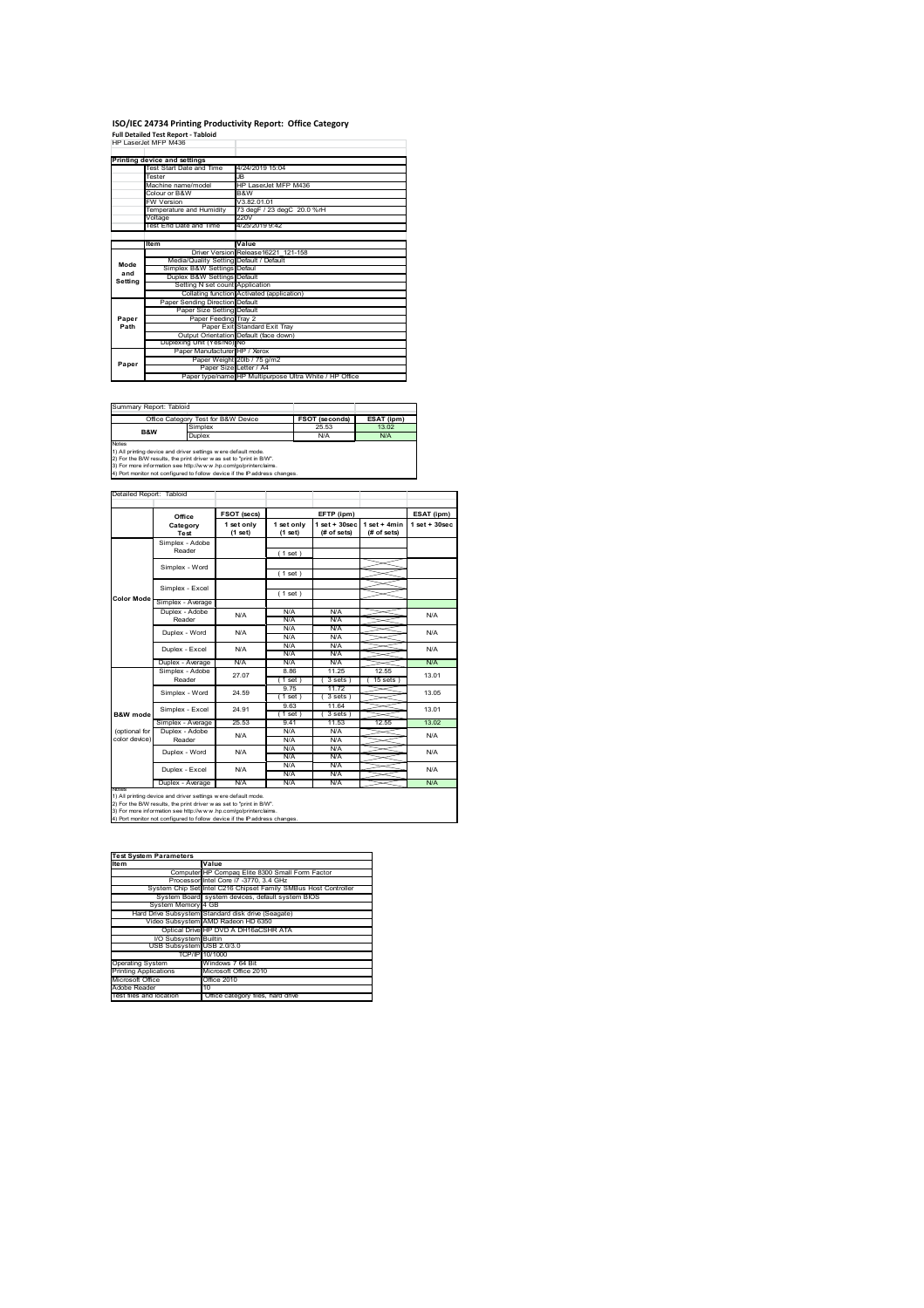# **ISO/IEC 24734 Printing Productivity Report: Office Category Full Detailed Test Report ‐ Tabloid** HP LaserJet MFP M436

|         | Printing device and settings            |                                                         |  |
|---------|-----------------------------------------|---------------------------------------------------------|--|
|         | Test Start Date and Time                | 4/24/2019 15:04                                         |  |
|         | Tester                                  | R                                                       |  |
|         | Machine name/model                      | HP LaserJet MFP M436                                    |  |
|         | Colour or R&W                           | <b>R&amp;W</b>                                          |  |
|         | <b>FW Version</b>                       | V3 82 01 01                                             |  |
|         | Temperature and Humidity                | 73 degF / 23 degC 20.0 %rH                              |  |
|         | Voltage                                 | 220V                                                    |  |
|         | Test End Date and Time                  | 4/25/2019 9:42                                          |  |
|         |                                         |                                                         |  |
|         | Item                                    | Value                                                   |  |
|         |                                         | Driver Version Release 16221 121-158                    |  |
| Mode    | Media/Quality Setting Default / Default |                                                         |  |
| and     | Simplex B&W Settings Defaul             |                                                         |  |
| Setting | Duplex B&W Settings Default             |                                                         |  |
|         | Setting N set count Application         |                                                         |  |
|         |                                         | Collating function Activated (application)              |  |
|         | Paper Sending Direction Default         |                                                         |  |
|         | Paper Size Setting Default              |                                                         |  |
| Paper   | Paper Feeding Tray 2                    |                                                         |  |
| Path    |                                         | Paper Exit Standard Exit Tray                           |  |
|         |                                         | Output Orientation Default (face down)                  |  |
|         | Duplexing Unit (Yes/No) No              |                                                         |  |
|         | Paper Manufacturer HP / Xerox           |                                                         |  |
| Paper   |                                         | Paper Weight 20lb / 75 g/m2                             |  |
|         | Paper Size Letter / A4                  |                                                         |  |
|         |                                         | Paper type/name HP Multipurpose Ultra White / HP Office |  |
|         |                                         |                                                         |  |

ary Report: Tabloid

**FSOT (seconds) ESAT (ipm)** Office Category Test for B&W Device **B&W** Ξ Simplex 25.53 13.02 Duplex N/A N/A N/A Notes<br>1) All printing device and driver settings were default mode.<br>2) For the BIW results, the print driver was set to "print in BIW".<br>3) For more information see http://www.hp.com/go/printerclaims.<br>4) Port monitor not co

|                                | Office            | FSOT (secs)             |                      | EFTP (ipm)                        |                               | ESAT (ipm)      |
|--------------------------------|-------------------|-------------------------|----------------------|-----------------------------------|-------------------------------|-----------------|
|                                | Category<br>Test  | 1 set only<br>$(1$ set) | 1 set only<br>(1.90) | $1$ set + $30$ sec<br>(# of sets) | $1$ set + 4min<br>(# of sets) | $1$ set + 30sec |
|                                | Simplex - Adobe   |                         |                      |                                   |                               |                 |
|                                | Reader            |                         | (1 set)              |                                   |                               |                 |
|                                |                   |                         |                      |                                   |                               |                 |
|                                | Simplex - Word    |                         | (1 set)              |                                   |                               |                 |
|                                | Simplex - Excel   |                         |                      |                                   |                               |                 |
| <b>Color Mode</b>              |                   |                         | (1 set)              |                                   |                               |                 |
|                                | Simplex - Average |                         |                      |                                   |                               |                 |
|                                | Duplex - Adobe    | N/A                     | N/A                  | N/A                               |                               | N/A             |
|                                | Reader            |                         | N/A                  | N/A                               |                               |                 |
|                                | Duplex - Word     | N/A                     | N/A                  | N/A                               |                               | N/A             |
|                                |                   |                         | N/A                  | <b>N/A</b>                        |                               |                 |
|                                | Duplex - Excel    | N/A                     | N/A                  | N/A                               |                               | N/A             |
|                                |                   |                         | N/A                  | N/A                               |                               |                 |
|                                | Duplex - Average  | N/A                     | N/A                  | N/A                               |                               | <b>N/A</b>      |
|                                | Simplex - Adobe   | 27.07                   | <b>R</b> RR          | 11.25                             | 12.55                         | 13.01           |
|                                | Reader            |                         | $1$ set $)$          | 3 sets                            | 15 sets                       |                 |
|                                | Simplex - Word    | 24.59                   | 9.75                 | 1172                              |                               | 13.05           |
|                                |                   |                         | (1 set)              | 3 sets                            |                               |                 |
|                                | Simplex - Excel   | 24.91                   | 9.63                 | 11.64<br>$3$ sets $1$             |                               | 13.01           |
| <b>R&amp;W</b> mode            |                   | 25.53                   | $1$ set $1$          |                                   |                               | 13.02           |
|                                | Simplex - Average |                         | 9.41<br>N/A          | 11.53<br>N/A                      | 12.55                         |                 |
| (optional for<br>color device) | Duplex - Adobe    | N/A                     |                      |                                   |                               | N/A             |
|                                | Reader            |                         | N/A                  | N/A                               |                               |                 |
|                                | Duplex - Word     | N/A                     | N/A<br>N/A           | N/A<br>N/A                        |                               | N/A             |
|                                |                   |                         |                      |                                   |                               |                 |
|                                | Duplex - Excel    | N/A                     | N/A<br>N/A           | N/A<br>N/A                        |                               | N/A             |
|                                | Duplex - Average  | N/A                     | N/A                  | N/A                               |                               | <b>N/A</b>      |
| <b>INCAND</b>                  |                   |                         |                      |                                   |                               |                 |

| <b>Test System Parameters</b> |                                                                 |  |  |  |
|-------------------------------|-----------------------------------------------------------------|--|--|--|
| Item                          | Value                                                           |  |  |  |
|                               | Computer HP Compag Elite 8300 Small Form Factor                 |  |  |  |
|                               | Processor Intel Core i7 -3770. 3.4 GHz                          |  |  |  |
|                               | System Chip Set Intel C216 Chipset Family SMBus Host Controller |  |  |  |
|                               | System Board system devices, default system BIOS                |  |  |  |
| System Memory 4 GB            |                                                                 |  |  |  |
|                               | Hard Drive Subsystem Standard disk drive (Seagate)              |  |  |  |
|                               | Video Subsystem AMD Radeon HD 6350                              |  |  |  |
|                               | Optical Drive HP DVD A DH16aCSHR ATA                            |  |  |  |
| VO Subsystem Builtin          |                                                                 |  |  |  |
| USB Subsystem USB 2.0/3.0     |                                                                 |  |  |  |
|                               | ICP/IP 10/1000                                                  |  |  |  |
| Operating System              | Windows 7 64 Bit                                                |  |  |  |
| Printing Applications         | Microsoft Office 2010                                           |  |  |  |
| Microsoft Office              | Office 2010                                                     |  |  |  |
| Adobe Reader                  | 10                                                              |  |  |  |
| Test files and location       | Office category files, hard drive                               |  |  |  |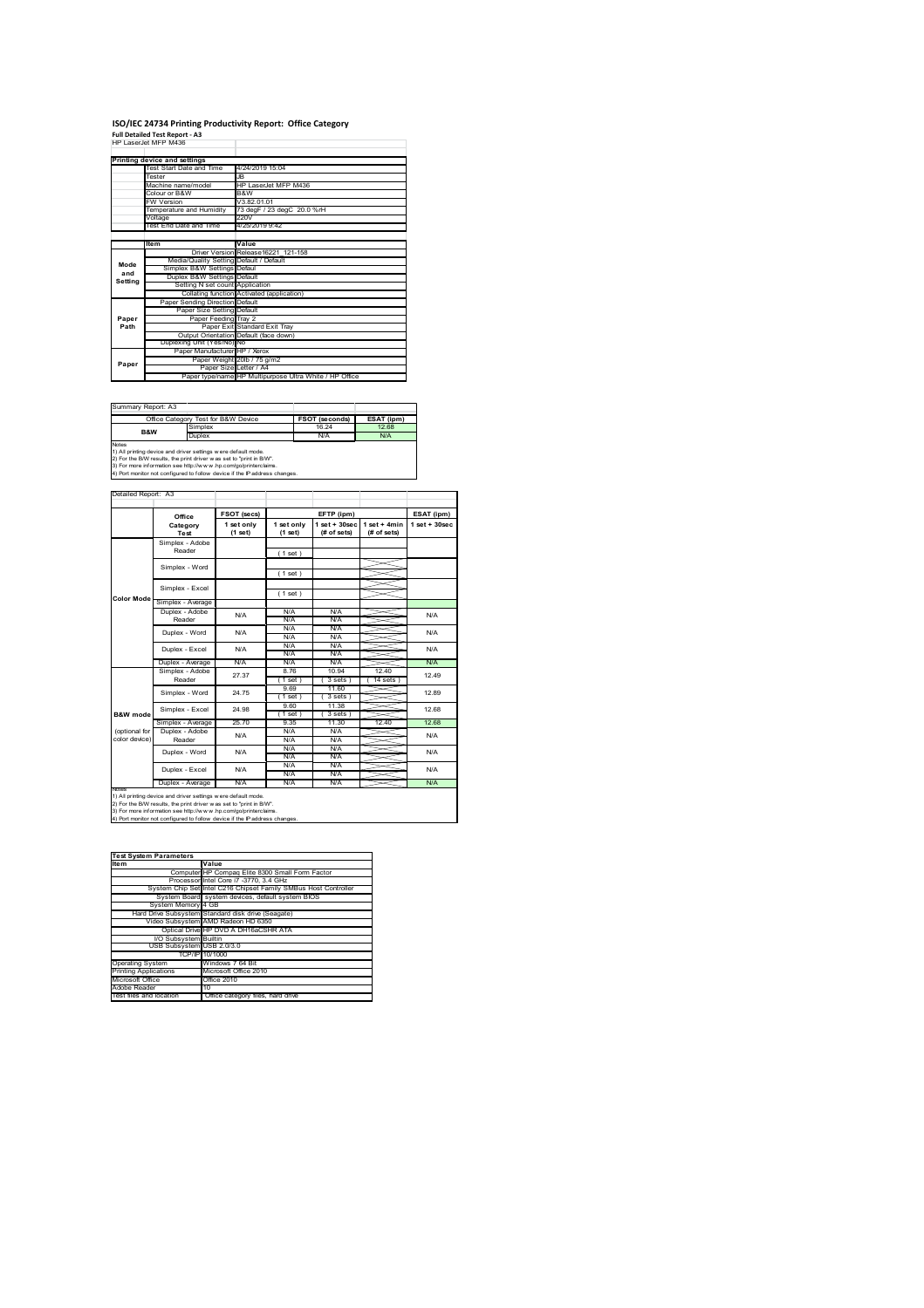# **ISO/IEC 24734 Printing Productivity Report: Office Category Full Detailed Test Report ‐ A3** HP LaserJet MFP M436

|         | Printing device and settings            |                                                         |
|---------|-----------------------------------------|---------------------------------------------------------|
|         | Test Start Date and Time                | 4/24/2019 15:04                                         |
|         | Tester                                  | ारि                                                     |
|         | Machine name/model                      | HP LaserJet MFP M436                                    |
|         | Colour or R&W                           | <b>R&amp;W</b>                                          |
|         | <b>FW Version</b>                       | V3 82 01 01                                             |
|         | Temperature and Humidity                | 73 degF / 23 degC 20.0 %rH                              |
|         | Voltage                                 | 22ftV                                                   |
|         | Test End Date and Time                  | 4/25/2019 9:42                                          |
|         |                                         |                                                         |
|         | <b>Item</b>                             | Value                                                   |
|         |                                         | Driver Version Release 16221 121-158                    |
| Mode    | Media/Quality Setting Default / Default |                                                         |
| and     | Simplex B&W Settings Defaul             |                                                         |
|         | Duplex B&W Settings Default             |                                                         |
| Setting | Setting N set count Application         |                                                         |
|         |                                         | Collating function Activated (application)              |
|         | Paper Sending Direction Default         |                                                         |
|         | Paper Size Setting Default              |                                                         |
| Paper   | Paper Feeding Tray 2                    |                                                         |
| Path    |                                         | Paper Exit Standard Exit Trav                           |
|         |                                         | Output Orientation Default (face down)                  |
|         | Duplexing Unit (Yes/No) No              |                                                         |
|         | Paper Manufacturer HP / Xerox           |                                                         |
|         |                                         | Paper Weight 20lb / 75 g/m2                             |
| Paper   | Paper Size Letter / A4                  |                                                         |
|         |                                         | Paper type/name HP Multipurpose Ultra White / HP Office |
|         |                                         |                                                         |

Summary Report: A3

|                                                                            | Office Category Test for B&W Device                                 | FSOT (seconds) | ESAT (ipm) |  |  |
|----------------------------------------------------------------------------|---------------------------------------------------------------------|----------------|------------|--|--|
| <b>R&amp;W</b>                                                             | Simplex                                                             | 16.24          | 12.68      |  |  |
|                                                                            | Duplex                                                              | N/A            | <b>N/A</b> |  |  |
| Nrees                                                                      |                                                                     |                |            |  |  |
|                                                                            | 1) All printing device and driver settings were default mode.       |                |            |  |  |
|                                                                            | 2) For the B/W results, the print driver was set to "print in B/W". |                |            |  |  |
| 31 East spouse information suga introductor as a compactmental interesting |                                                                     |                |            |  |  |

3) For more information see http://w w w .hp.com/go/printerclaims. 4) Port monitor not configured to follow device if the IP address changes.

|                     | Office            | FSOT (secs)             |                      | EFTP (ipm)                        |                               | ESAT (ipm)      |  |
|---------------------|-------------------|-------------------------|----------------------|-----------------------------------|-------------------------------|-----------------|--|
|                     | Category<br>Test  | 1 set only<br>$(1$ set) | 1 set only<br>(1.90) | $1$ set + $30$ sec<br>(# of sets) | $1$ set + 4min<br>(# of sets) | $1$ set + 30sec |  |
|                     | Simplex - Adobe   |                         |                      |                                   |                               |                 |  |
|                     | Reader            |                         | (1 set)              |                                   |                               |                 |  |
|                     |                   |                         |                      |                                   |                               |                 |  |
|                     | Simplex - Word    |                         | (1 set)              |                                   |                               |                 |  |
|                     | Simplex - Excel   |                         |                      |                                   |                               |                 |  |
| <b>Color Mode</b>   |                   |                         | (1 set)              |                                   |                               |                 |  |
|                     | Simplex - Average |                         |                      |                                   |                               |                 |  |
|                     | Duplex - Adobe    | N/A                     | N/A                  | N/A                               |                               | N/A             |  |
|                     | Reader            |                         | N/A                  | N/A                               |                               |                 |  |
|                     | Duplex - Word     | N/A                     | N/A                  | N/A                               |                               | N/A             |  |
|                     |                   |                         | N/A                  | N/A                               |                               |                 |  |
|                     | Duplex - Excel    | N/A                     | N/A                  | N/A                               |                               | N/A             |  |
|                     |                   |                         | N/A                  | N/A                               |                               |                 |  |
|                     | Duplex - Average  | N/A                     | N/A                  | N/A                               |                               | N/A             |  |
|                     | Simplex - Adobe   | 27.37                   | 8.76                 | 10 94                             | 12.40                         | 12.49           |  |
|                     | Reader            |                         | $1$ set $)$          | 3 sets                            | 14 sets                       |                 |  |
|                     | Simplex - Word    | 24.75                   | 9.69                 | 11.60                             |                               | 12.89           |  |
|                     |                   |                         | $1$ set $1$          | 3 <sub>sets</sub>                 |                               |                 |  |
|                     | Simplex - Excel   | 24.98                   | 9.60                 | 11.38                             |                               | 12.68           |  |
| <b>R&amp;W</b> mode |                   |                         | $1$ set $1$          | 3 <sub>sets</sub>                 |                               |                 |  |
|                     | Simplex - Average | 25.70                   | 9.35                 | 11.30                             | 12.40                         | <b>12.68</b>    |  |
| (optional for       | Duplex - Adobe    | N/A                     | N/A                  | N/A                               |                               | N/A             |  |
| color device)       | Reader            |                         | N/A                  | <b>N/A</b>                        |                               |                 |  |
|                     | Duplex - Word     | N/A                     | N/A                  | N/A                               |                               | N/A             |  |
|                     |                   |                         | N/A                  | N/A                               |                               |                 |  |
|                     | Duplex - Excel    | N/A                     | N/A                  | N/A                               |                               | N/A             |  |
|                     |                   |                         | N/A                  | N/A                               |                               |                 |  |
|                     | Duplex - Average  | <b>N/A</b>              | N/A                  | <b>N/A</b>                        |                               | <b>N/A</b>      |  |

| <b>Test System Parameters</b> |                                                                 |
|-------------------------------|-----------------------------------------------------------------|
| Item                          | Value                                                           |
|                               | Computer HP Compag Elite 8300 Small Form Factor                 |
|                               | Processor Intel Core i7 -3770. 3.4 GHz                          |
|                               | System Chip Set Intel C216 Chipset Family SMBus Host Controller |
|                               | System Board system devices, default system BIOS                |
| System Memory 4 GB            |                                                                 |
|                               | Hard Drive Subsystem Standard disk drive (Seagate)              |
|                               | Video Subsystem AMD Radeon HD 6350                              |
|                               | Optical Drive HP DVD A DH16aCSHR ATA                            |
| VO Subsystem Builtin          |                                                                 |
|                               | USB Subsystem USB 2.0/3.0                                       |
|                               | ICP/IP 10/1000                                                  |
| Operating System              | Windows 7 64 Bit                                                |
| <b>Printing Applications</b>  | Microsoft Office 2010                                           |
| Microsoft Office              | Office 2010                                                     |
| Adobe Reader                  | 10                                                              |
| Test files and location       | Office category files, hard drive                               |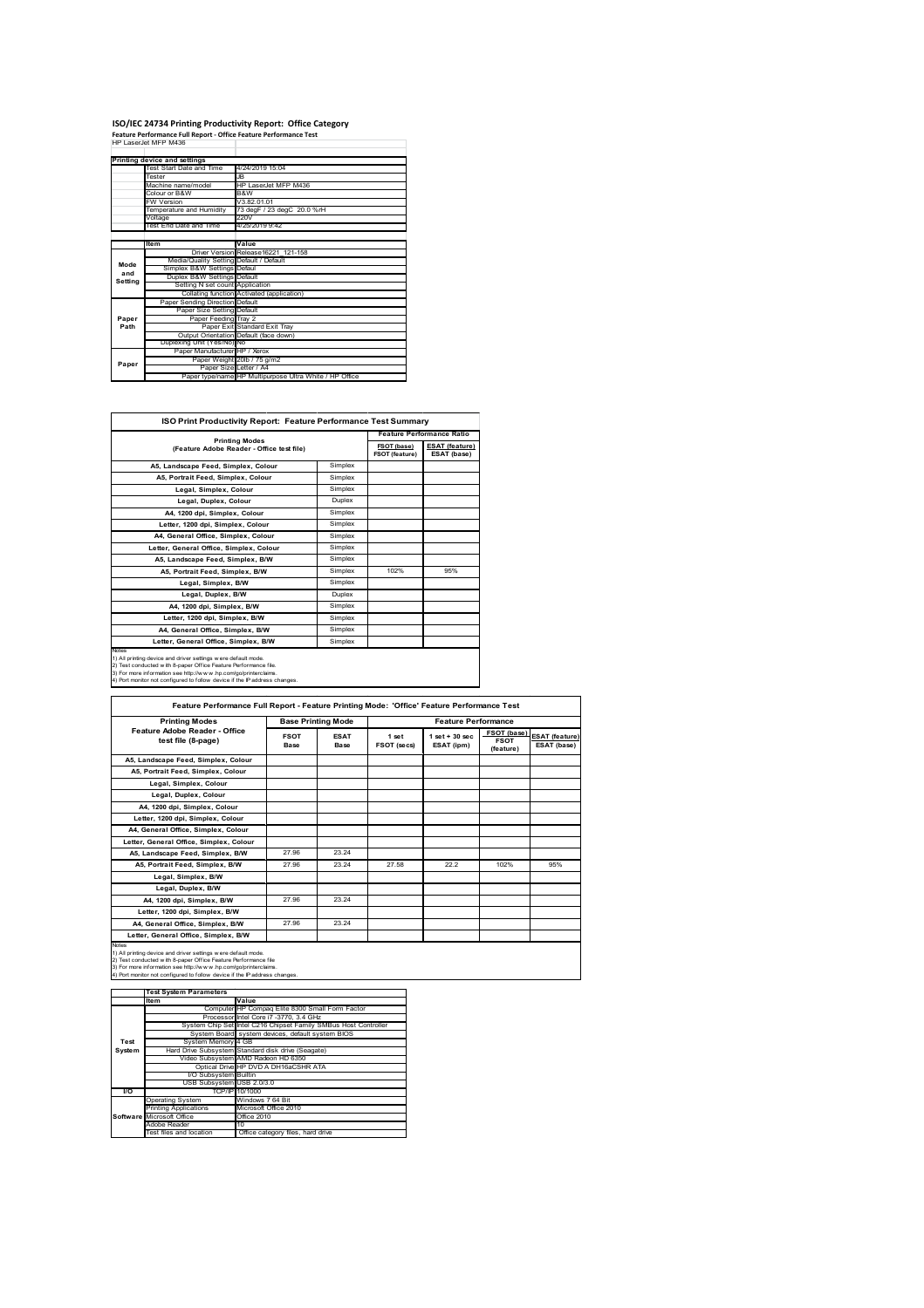## **ISO/IEC 24734 Printing Productivity Report: Office Category Feature Performance Full Report ‐ Office Feature Performance Test** HP LaserJet MFP M436

|         | Printing device and settings            |                                                         |
|---------|-----------------------------------------|---------------------------------------------------------|
|         | <b>Test Start Date and Time</b>         | 4/24/2019 15:04                                         |
|         | Tester                                  | ारि                                                     |
|         | Machine name/model                      | HP Laseclet MFP M436                                    |
|         | Colour or B&W                           | B&W                                                     |
|         | <b>FW Version</b>                       | V3.82.01.01                                             |
|         | Temperature and Humidity                | 73 degF / 23 degC 20.0 %rH                              |
|         | Voltage                                 | 220V                                                    |
|         | Test End Date and Time                  | 4/25/2019 9:42                                          |
|         |                                         |                                                         |
|         | <b>Item</b>                             | Value                                                   |
|         |                                         | Driver Version Release 16221 121-158                    |
| Mode    | Media/Quality Setting Default / Default |                                                         |
| and     | Simplex B&W Settings Defaul             |                                                         |
|         | Duplex B&W Settings Default             |                                                         |
| Setting | Setting N set count Application         |                                                         |
|         |                                         | Collating function Activated (application)              |
|         | Paper Sending Direction Default         |                                                         |
|         | Paper Size Setting Default              |                                                         |
| Paper   | Paper Feeding Tray 2                    |                                                         |
| Path    |                                         | Paper Exit Standard Exit Trav                           |
|         |                                         | Output Orientation Default (face down)                  |
|         | Duplexing Unit (Yes/No) No              |                                                         |
|         | Paper Manufacturer HP / Xerox           |                                                         |
|         |                                         | Paper Weight 20lb / 75 g/m2                             |
| Paper   | Paper Size Letter / A4                  |                                                         |
|         |                                         | Paper type/name HP Multipurpose Ultra White / HP Office |

| ISO Print Productivity Report: Feature Performance Test Summary                                                                           |         |                                      |                                      |
|-------------------------------------------------------------------------------------------------------------------------------------------|---------|--------------------------------------|--------------------------------------|
|                                                                                                                                           |         |                                      | <b>Feature Performance Ratio</b>     |
| <b>Printing Modes</b><br>(Feature Adobe Reader - Office test file)                                                                        |         | FSOT (base)<br><b>FSOT (feature)</b> | <b>ESAT (feature)</b><br>ESAT (base) |
| A5, Landscape Feed, Simplex, Colour                                                                                                       | Simplex |                                      |                                      |
| A5. Portrait Feed, Simplex, Colour                                                                                                        | Simplex |                                      |                                      |
| Legal, Simplex, Colour                                                                                                                    | Simplex |                                      |                                      |
| Legal, Duplex, Colour                                                                                                                     | Duplex  |                                      |                                      |
| A4. 1200 dpi. Simplex, Colour                                                                                                             | Simplex |                                      |                                      |
| Letter, 1200 dpi, Simplex, Colour                                                                                                         | Simplex |                                      |                                      |
| A4. General Office, Simplex, Colour                                                                                                       | Simplex |                                      |                                      |
| Letter, General Office, Simplex, Colour                                                                                                   | Simplex |                                      |                                      |
| A5. Landscape Feed, Simplex, B/W                                                                                                          | Simplex |                                      |                                      |
| A5. Portrait Feed. Simplex. B/W                                                                                                           | Simplex | 102%                                 | 95%                                  |
| Legal, Simplex, B/W                                                                                                                       | Simplex |                                      |                                      |
| Legal, Duplex, B/W                                                                                                                        | Duplex  |                                      |                                      |
| A4, 1200 dpi, Simplex, B/W                                                                                                                | Simplex |                                      |                                      |
| Letter, 1200 dpi, Simplex, B/W                                                                                                            | Simplex |                                      |                                      |
| A4. General Office, Simplex, B/W                                                                                                          | Simplex |                                      |                                      |
| Letter, General Office, Simplex, B/W                                                                                                      | Simplex |                                      |                                      |
| Nntes<br>1) All printing device and driver settings were default mode.<br>2) Test conducted with 8-paper Office Feature Performance file. |         |                                      |                                      |

2) Test conducted w ith 8-paper Office Feature Performance file.<br>3) For more information see http://w w w .hp.com/go/printerclaims.<br>4) Port monitor not configured to follow device if the IP address changes.

 $\overline{a}$ 

|       | Feature Performance Full Report - Feature Printing Mode: 'Office' Feature Performance Test                                                                                                                                                                                       |                                                                                         |                           |                            |                                 |                                                |                                      |
|-------|----------------------------------------------------------------------------------------------------------------------------------------------------------------------------------------------------------------------------------------------------------------------------------|-----------------------------------------------------------------------------------------|---------------------------|----------------------------|---------------------------------|------------------------------------------------|--------------------------------------|
|       | <b>Printing Modes</b>                                                                                                                                                                                                                                                            |                                                                                         | <b>Base Printing Mode</b> | <b>Feature Performance</b> |                                 |                                                |                                      |
|       | Feature Adobe Reader - Office<br>test file (8-page)                                                                                                                                                                                                                              | <b>ESOT</b><br>Rase                                                                     | <b>FSAT</b><br>Rase       | 1 set<br>FSOT (secs)       | $1$ set $+30$ sec<br>ESAT (ipm) | <b>FSOT (base)</b><br><b>ESOT</b><br>(feature) | <b>ESAT (feature)</b><br>ESAT (base) |
|       | A5. Landscape Feed, Simplex, Colour                                                                                                                                                                                                                                              |                                                                                         |                           |                            |                                 |                                                |                                      |
|       | A5. Portrait Feed, Simplex, Colour                                                                                                                                                                                                                                               |                                                                                         |                           |                            |                                 |                                                |                                      |
|       | Legal, Simplex, Colour                                                                                                                                                                                                                                                           |                                                                                         |                           |                            |                                 |                                                |                                      |
|       | Legal, Duplex, Colour                                                                                                                                                                                                                                                            |                                                                                         |                           |                            |                                 |                                                |                                      |
|       | A4. 1200 dpi. Simplex, Colour                                                                                                                                                                                                                                                    |                                                                                         |                           |                            |                                 |                                                |                                      |
|       | Letter, 1200 dpi, Simplex, Colour                                                                                                                                                                                                                                                |                                                                                         |                           |                            |                                 |                                                |                                      |
|       | A4. General Office, Simplex, Colour                                                                                                                                                                                                                                              |                                                                                         |                           |                            |                                 |                                                |                                      |
|       | Letter, General Office, Simplex, Colour                                                                                                                                                                                                                                          |                                                                                         |                           |                            |                                 |                                                |                                      |
|       | A5. Landscape Feed, Simplex, B/W                                                                                                                                                                                                                                                 | 27.98                                                                                   | 23.24                     |                            |                                 |                                                |                                      |
|       | A5. Portrait Feed, Simplex, B/W                                                                                                                                                                                                                                                  | 27.96                                                                                   | 23.24                     | 27.58                      | 22.2                            | 102%                                           | 98%                                  |
|       | Legal, Simplex, B/W                                                                                                                                                                                                                                                              |                                                                                         |                           |                            |                                 |                                                |                                      |
|       | Legal, Duplex, B/W                                                                                                                                                                                                                                                               |                                                                                         |                           |                            |                                 |                                                |                                      |
|       | A4. 1200 dpi. Simplex. B/W                                                                                                                                                                                                                                                       | 27.98                                                                                   | 23.24                     |                            |                                 |                                                |                                      |
|       | Letter, 1200 dpi, Simplex, B/W                                                                                                                                                                                                                                                   |                                                                                         |                           |                            |                                 |                                                |                                      |
|       | A4. General Office, Simplex, B/W                                                                                                                                                                                                                                                 | 27.98                                                                                   | 23.24                     |                            |                                 |                                                |                                      |
|       | Letter, General Office, Simplex, B/W                                                                                                                                                                                                                                             |                                                                                         |                           |                            |                                 |                                                |                                      |
| Notes | 1) All printing device and driver settings were default mode.<br>2) Test conducted with 8-paper Office Feature Performance file<br>3) For more information see http://www.hp.com/go/printerclaims.<br>4) Port monitor not configured to follow device if the IP address changes. |                                                                                         |                           |                            |                                 |                                                |                                      |
|       |                                                                                                                                                                                                                                                                                  |                                                                                         |                           |                            |                                 |                                                |                                      |
|       | <b>Test System Parameters</b><br>Value<br>Item                                                                                                                                                                                                                                   |                                                                                         |                           |                            |                                 |                                                |                                      |
|       |                                                                                                                                                                                                                                                                                  | Computer HP Compag Elite 8300 Small Form Factor                                         |                           |                            |                                 |                                                |                                      |
|       |                                                                                                                                                                                                                                                                                  | Processor Intel Core i7 -3770. 3.4 GHz                                                  |                           |                            |                                 |                                                |                                      |
|       |                                                                                                                                                                                                                                                                                  | $21.5$ $2.11.1$ $2.21.2$ $2.21.2$ $2.11.2$ $2.11.2$ $2.11.2$ $2.11.2$ $2.11.2$ $2.11.2$ |                           |                            |                                 |                                                |                                      |

|        |                              | Computer HP Compag Elite 8300 Small Form Factor                 |
|--------|------------------------------|-----------------------------------------------------------------|
|        |                              | Processor Intel Core i7 -3770. 3.4 GHz                          |
|        |                              | System Chip Set Intel C216 Chipset Family SMBus Host Controller |
|        |                              | System Board system devices, default system BIOS                |
| Test   | System Memory 4 GB           |                                                                 |
| System |                              | Hard Drive Subsystem Standard disk drive (Seagate)              |
|        |                              | Video Subsystem AMD Radeon HD 6350                              |
|        |                              | Optical Drive HP DVD A DH16aCSHR ATA                            |
|        | VO Subsystem Builtin         |                                                                 |
|        | USB Subsystem USB 2.0/3.0    |                                                                 |
| I/O    |                              | ICP/IP 10/1000                                                  |
|        | Operating System             | Windows 7 64 Bit                                                |
|        | <b>Printing Applications</b> | Microsoft Office 2010                                           |
|        | Software Microsoft Office    | Office 2010                                                     |
|        | Adobe Reader                 | 10                                                              |
|        | Test files and location      | Office category files, hard drive                               |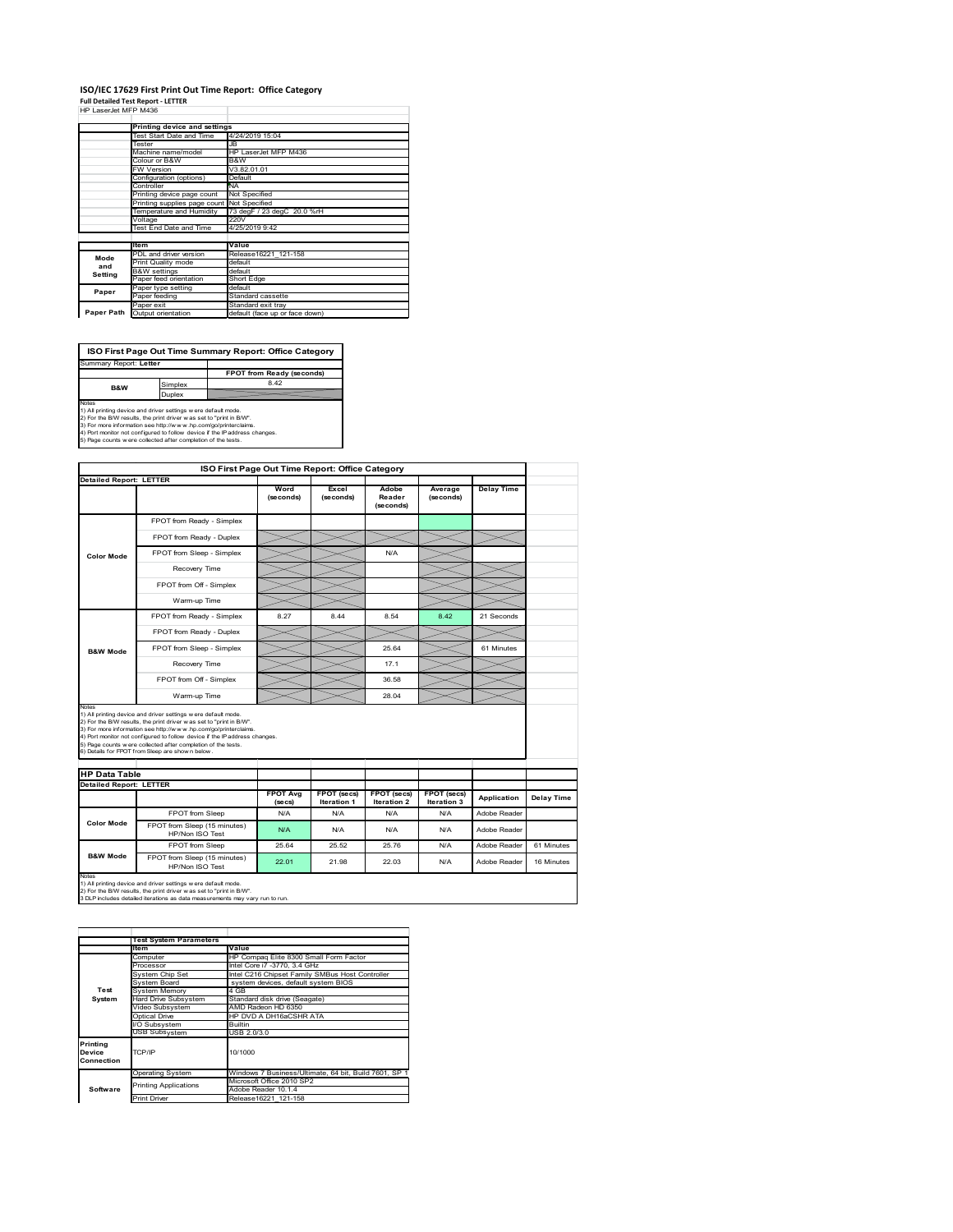### **ISO/IEC 17629 First Print Out Time Report: Office Category Full Detailed Test Report ‐ LETTER** HP LaserJet MFP M436

| FF LASSINS WE WE WISS |                              |                                |
|-----------------------|------------------------------|--------------------------------|
|                       | Printing device and settings |                                |
|                       | Test Start Date and Time     | 4/24/2019 15:04                |
|                       | Tester                       | JB.                            |
|                       | Machine name/model           | HP LaserJet MFP M436           |
|                       | Colour or B&W                | B&W                            |
|                       | <b>FW Version</b>            | V3.82.01.01                    |
|                       | Configuration (options)      | Default                        |
|                       | Controller                   | <b>NA</b>                      |
|                       | Printing device page count   | Not Specified                  |
|                       | Printing supplies page count | Not Specified                  |
|                       | Temperature and Humidity     | 73 degF / 23 degC 20.0 %rH     |
|                       | Voltage                      | 220V                           |
|                       | Test End Date and Time       | 4/25/2019 9:42                 |
|                       |                              |                                |
|                       | ltem                         | Value                          |
| Mode                  | PDL and driver version       | Release16221 121-158           |
| and                   | Print Quality mode           | default                        |
| Setting               | <b>B&amp;W</b> settings      | default                        |
|                       | Paper feed orientation       | Short Edge                     |
| Paper                 | Paper type setting           | default                        |
|                       | Paper feeding                | Standard cassette              |
|                       | Paper exit                   | Standard exit tray             |
| Paper Path            | Output orientation           | default (face up or face down) |

|                                                                                                                                                                                                                                                                                    |         | ISO First Page Out Time Summary Report: Office Category                    |
|------------------------------------------------------------------------------------------------------------------------------------------------------------------------------------------------------------------------------------------------------------------------------------|---------|----------------------------------------------------------------------------|
| Summary Report: Letter                                                                                                                                                                                                                                                             |         |                                                                            |
|                                                                                                                                                                                                                                                                                    |         | FPOT from Ready (seconds)                                                  |
| <b>B&amp;W</b>                                                                                                                                                                                                                                                                     | Simplex | 8.42                                                                       |
|                                                                                                                                                                                                                                                                                    | Duplex  |                                                                            |
| Notes<br>1) All printing device and driver settings w ere default mode.<br>2) For the B/W results, the print driver was set to "print in B/W".<br>3) For more information see http://www.hp.com/go/printerclaims.<br>5) Page counts w ere collected after completion of the tests. |         | 4) Port monitor not configured to follow device if the IP address changes. |

**ISO First Page Out Time Report: Office Category Detailed Report: LETTER elay Word (seconds) Excel (seconds) Adobe Reader Average (seconds)** (second FPOT from Ready - Simplex FPOT from Ready - Duplex  $\asymp$  $>\!<$ FPOT from Sleep - Simplex N/A **Color Mode** Recovery Time ╰  $\gg$ FPOT from Off - Simplex  $\!>\!$  $\lessgtr$  $\overline{\varkappa}$  $\overline{\times}$ Warm-up Time  $\overline{\phantom{0}}$ FPOT from Ready - Simplex 8.27 8.44 8.54 8.42 21 Seconds FPOT from Ready - Duplex FPOT from Sleep - Simplex 25.64 61 Minutes **B&W Mode** Recovery Time Recovery Time 17.1<br>Therm Off - Simplex 36.58  $\gg$  $\prec$  $\iff$ FPOT from Off - Simplex 36.58  $\equiv$ Warm-up Time 28.04 Notes<br>1) All printing device and driver settings were default mode.<br>2) For the BMV results, the print driver was set to "print in BMV".<br>3) For more information see http://www.hp.com/golprinterclaims.<br>4) Port monitor not co **HP Data Table Detailed Report: LETTER FPOT Avg FPOT (secs) Iteration 1 FPOT (secs) Iteration 2 FPOT (secs) Iteration 3 Application Delay Time (secs)** FPOT from Sleep N/A N/A N/A N/A N/A Adobe Reader **Color Mode** FPOT from Sleep (15 minutes) HP/Non ISO Test N/A N/A N/A N/A Adobe Reader FPOT from Sleep 25.64 25.52 25.76 N/A Adobe Reader 61 Minutes **B&W Mode** FPOT from Sleep (15 minutes) HP/Non ISO Test 22.01 21.98 22.03 N/A Adobe Reader 16 Minutes Notes<br>1) All printing device and driver settings w ere default mode.<br>2) For the B/W results, the print driver w as set to "print in B/W".<br>3 DLP includes detailed iterations as data measurements may vary run to run.

|                                  | <b>Test System Parameters</b> |                                                       |
|----------------------------------|-------------------------------|-------------------------------------------------------|
|                                  | ltem                          | Value                                                 |
|                                  | Computer                      | HP Compag Elite 8300 Small Form Factor                |
|                                  | Processor                     | Intel Core i7 -3770, 3.4 GHz                          |
|                                  | System Chip Set               | Intel C216 Chipset Family SMBus Host Controller       |
|                                  | System Board                  | system devices, default system BIOS                   |
| Test                             | System Memory                 | 4 GB                                                  |
| System                           | <b>Hard Drive Subsystem</b>   | Standard disk drive (Seagate)                         |
|                                  | Video Subsystem               | AMD Radeon HD 6350                                    |
|                                  | Optical Drive                 | HP DVD A DH16aCSHR ATA                                |
|                                  | I/O Subsystem                 | <b>Builtin</b>                                        |
|                                  | <b>USB Subsystem</b>          | USB 2.0/3.0                                           |
| Printing<br>Device<br>Connection | TCP/IP                        | 10/1000                                               |
|                                  | Operating System              | Windows 7 Business/Ultimate, 64 bit, Build 7601, SP 1 |
|                                  | <b>Printing Applications</b>  | Microsoft Office 2010 SP2                             |
| Software                         |                               | Adobe Reader 10.1.4                                   |
|                                  | <b>Print Driver</b>           | Release16221 121-158                                  |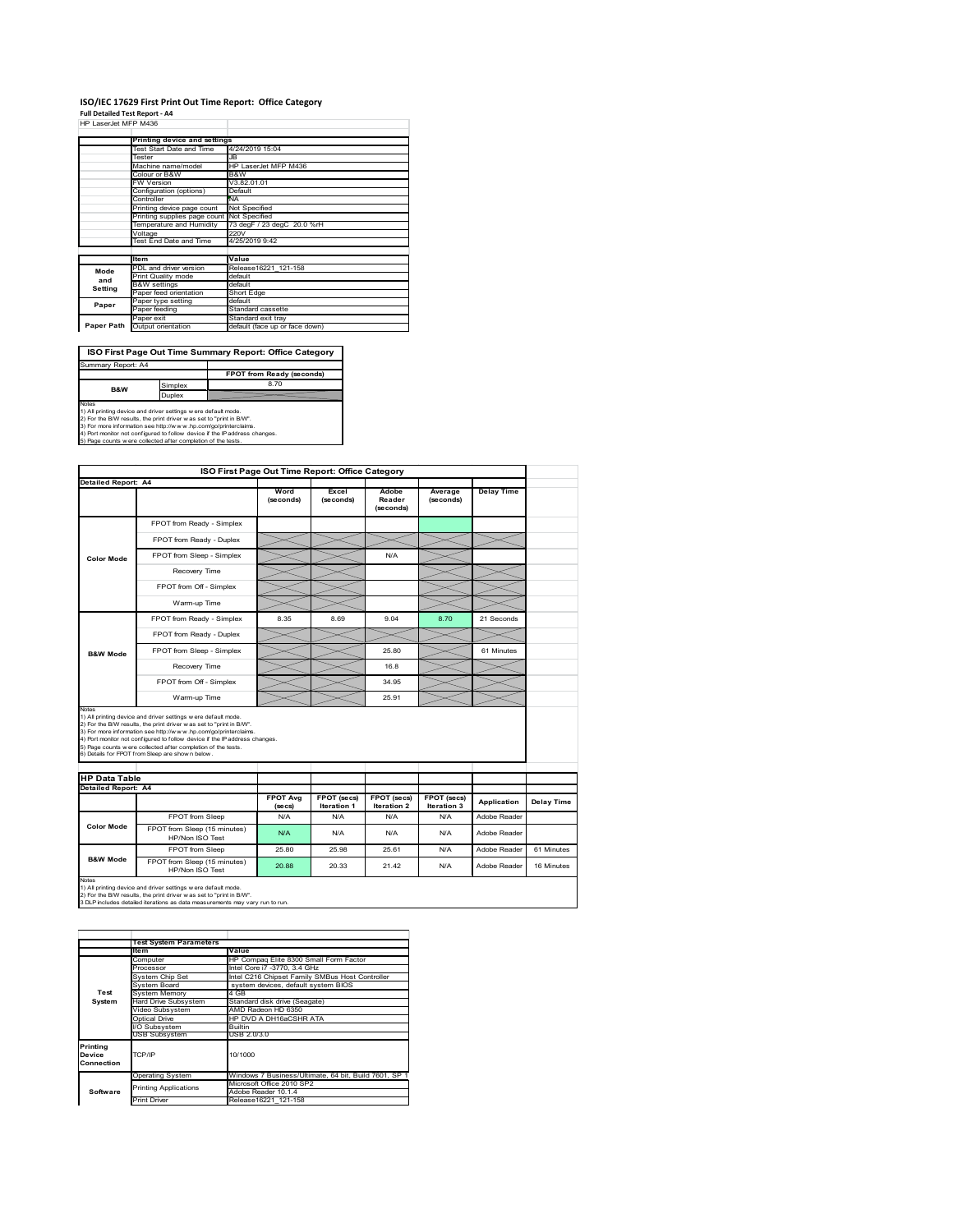# **ISO/IEC 17629 First Print Out Time Report: Office Category Full Detailed Test Report ‐ A4** HP LaserJet MFP M436

| HP Laser let MFP M436 |                                            |                                |
|-----------------------|--------------------------------------------|--------------------------------|
|                       | Printing device and settings               |                                |
|                       | Test Start Date and Time                   | 4/24/2019 15:04                |
|                       | Tester                                     | JB.                            |
|                       | Machine name/model                         | HP LaserJet MFP M436           |
|                       | Colour or B&W                              | B&W                            |
|                       | <b>FW Version</b>                          | V3.82.01.01                    |
|                       | Configuration (options)                    | Default                        |
|                       | Controller                                 | <b>NA</b>                      |
|                       | Printing device page count                 | Not Specified                  |
|                       | Printing supplies page count Not Specified |                                |
|                       | Temperature and Humidity                   | 73 degF / 23 degC 20.0 %rH     |
|                       | Voltage                                    | 220V                           |
|                       | Test End Date and Time                     | 4/25/2019 9:42                 |
|                       |                                            |                                |
|                       | Item                                       | Value                          |
| Mode                  | PDL and driver version                     | Release16221 121-158           |
| and                   | Print Quality mode                         | default                        |
| Setting               | <b>B&amp;W</b> settings                    | default                        |
|                       | Paper feed orientation                     | Short Edge                     |
| Paper                 | Paper type setting                         | default                        |
|                       | Paper feeding                              | Standard cassette              |
|                       | Paper exit                                 | Standard exit tray             |
| Paper Path            | Output orientation                         | default (face up or face down) |

**ISO First Page Out Time Summary Report: Office Category**

| Summary Report: A4                                                         |         |                           |
|----------------------------------------------------------------------------|---------|---------------------------|
|                                                                            |         | FPOT from Ready (seconds) |
| <b>B&amp;W</b>                                                             | Simplex | 8.70                      |
|                                                                            | Duplex  |                           |
| Notes                                                                      |         |                           |
| 1) All printing device and driver settings w ere default mode.             |         |                           |
| 2) For the B/W results, the print driver was set to "print in B/W".        |         |                           |
| 3) For more information see http://www.hp.com/go/printerclaims.            |         |                           |
| 4) Port monitor not configured to follow device if the IP address changes. |         |                           |
| 5) Page counts w ere collected after completion of the tests.              |         |                           |

|                                                   |                                                                                                                                                                                                                                                                                                                                                                                                             | ISO First Page Out Time Report: Office Category |                                   |                              |                            |                    |
|---------------------------------------------------|-------------------------------------------------------------------------------------------------------------------------------------------------------------------------------------------------------------------------------------------------------------------------------------------------------------------------------------------------------------------------------------------------------------|-------------------------------------------------|-----------------------------------|------------------------------|----------------------------|--------------------|
| Detailed Report: A4                               |                                                                                                                                                                                                                                                                                                                                                                                                             |                                                 |                                   |                              |                            |                    |
|                                                   |                                                                                                                                                                                                                                                                                                                                                                                                             | Word<br>(seconds)                               | Excel<br>(seconds)                | Adobe<br>Reader<br>(seconds) | Average<br>(seconds)       | <b>Delay Time</b>  |
|                                                   | FPOT from Ready - Simplex                                                                                                                                                                                                                                                                                                                                                                                   |                                                 |                                   |                              |                            |                    |
|                                                   | FPOT from Ready - Duplex                                                                                                                                                                                                                                                                                                                                                                                    |                                                 |                                   |                              |                            |                    |
| <b>Color Mode</b>                                 | FPOT from Sleep - Simplex                                                                                                                                                                                                                                                                                                                                                                                   |                                                 |                                   | N/A                          |                            |                    |
|                                                   | Recovery Time                                                                                                                                                                                                                                                                                                                                                                                               |                                                 |                                   |                              |                            |                    |
|                                                   | FPOT from Off - Simplex                                                                                                                                                                                                                                                                                                                                                                                     |                                                 |                                   |                              |                            |                    |
|                                                   | Warm-up Time                                                                                                                                                                                                                                                                                                                                                                                                |                                                 |                                   |                              |                            |                    |
|                                                   | FPOT from Ready - Simplex                                                                                                                                                                                                                                                                                                                                                                                   | 8.35                                            | 8.69                              | 9.04                         | 8.70                       | 21 Seconds         |
|                                                   | FPOT from Ready - Duplex                                                                                                                                                                                                                                                                                                                                                                                    |                                                 |                                   |                              |                            |                    |
| <b>B&amp;W Mode</b>                               | FPOT from Sleep - Simplex                                                                                                                                                                                                                                                                                                                                                                                   |                                                 |                                   | 25.80                        |                            | 61 Minutes         |
|                                                   | Recovery Time                                                                                                                                                                                                                                                                                                                                                                                               |                                                 |                                   | 16.8                         |                            |                    |
|                                                   |                                                                                                                                                                                                                                                                                                                                                                                                             |                                                 |                                   |                              |                            |                    |
|                                                   | FPOT from Off - Simplex                                                                                                                                                                                                                                                                                                                                                                                     |                                                 |                                   | 34.95                        |                            |                    |
|                                                   | Warm-up Time                                                                                                                                                                                                                                                                                                                                                                                                |                                                 |                                   | 25.91                        |                            |                    |
| Notes<br><b>HP Data Table</b>                     | 1) All printing device and driver settings w ere default mode.<br>2) For the B/W results, the print driver was set to "print in B/W".<br>3) For more information see http://www.hp.com/go/printerclaims.<br>4) Port monitor not configured to follow device if the IP address changes.<br>5) Page counts w ere collected after completion of the tests.<br>6) Details for FPOT from Sleep are show n below. |                                                 |                                   |                              |                            |                    |
|                                                   |                                                                                                                                                                                                                                                                                                                                                                                                             |                                                 |                                   |                              |                            |                    |
|                                                   |                                                                                                                                                                                                                                                                                                                                                                                                             | <b>FPOT Avg</b><br>(se cs)                      | <b>FPOT</b> (secs)<br>Iteration 1 | FPOT (secs)<br>Iteration 2   | FPOT (secs)<br>Iteration 3 | <b>Application</b> |
|                                                   | FPOT from Sleep                                                                                                                                                                                                                                                                                                                                                                                             | N/A                                             | N/A                               | N/A                          | N/A                        | Adobe Reader       |
| <b>Color Mode</b>                                 | FPOT from Sleep (15 minutes)<br>HP/Non ISO Test                                                                                                                                                                                                                                                                                                                                                             | N/A                                             | N/A                               | N/A                          | N/A                        | Adobe Reader       |
| <b>Detailed Report: A4</b><br><b>B&amp;W Mode</b> | FPOT from Sleep                                                                                                                                                                                                                                                                                                                                                                                             | 25.80                                           | 25.98                             | 25.61                        | N/A                        | Adobe Reader       |

1) All printing device and driver settings w ere default mode.<br>2) For the B/W results, the print driver w as set to "print in B/W".<br>3 DLP includes detailed iterations as data measurements may vary run to run.

|                                  | <b>Test System Parameters</b> |                                                       |  |  |
|----------------------------------|-------------------------------|-------------------------------------------------------|--|--|
|                                  | ltem                          | Value                                                 |  |  |
|                                  | Computer                      | HP Compag Elite 8300 Small Form Factor                |  |  |
|                                  | Processor                     | Intel Core i7 -3770, 3.4 GHz                          |  |  |
|                                  | System Chip Set               | Intel C216 Chipset Family SMBus Host Controller       |  |  |
|                                  | System Board                  | system devices, default system BIOS                   |  |  |
| Test                             | System Memory                 | 4 GB                                                  |  |  |
| System                           | Hard Drive Subsystem          | Standard disk drive (Seagate)                         |  |  |
|                                  | Video Subsystem               | AMD Radeon HD 6350                                    |  |  |
|                                  | Optical Drive                 | HP DVD A DH16aCSHR ATA                                |  |  |
|                                  | I/O Subsystem                 | <b>Builtin</b>                                        |  |  |
|                                  | <b>USB Subsystem</b>          | USB 2.0/3.0                                           |  |  |
| Printing<br>Device<br>Connection | TCP/IP                        | 10/1000                                               |  |  |
|                                  | <b>Operating System</b>       | Windows 7 Business/Ultimate, 64 bit, Build 7601, SP 1 |  |  |
|                                  | <b>Printing Applications</b>  | Microsoft Office 2010 SP2                             |  |  |
| Software                         |                               | Adobe Reader 10.1.4                                   |  |  |
|                                  | <b>Print Driver</b>           | Release16221 121-158                                  |  |  |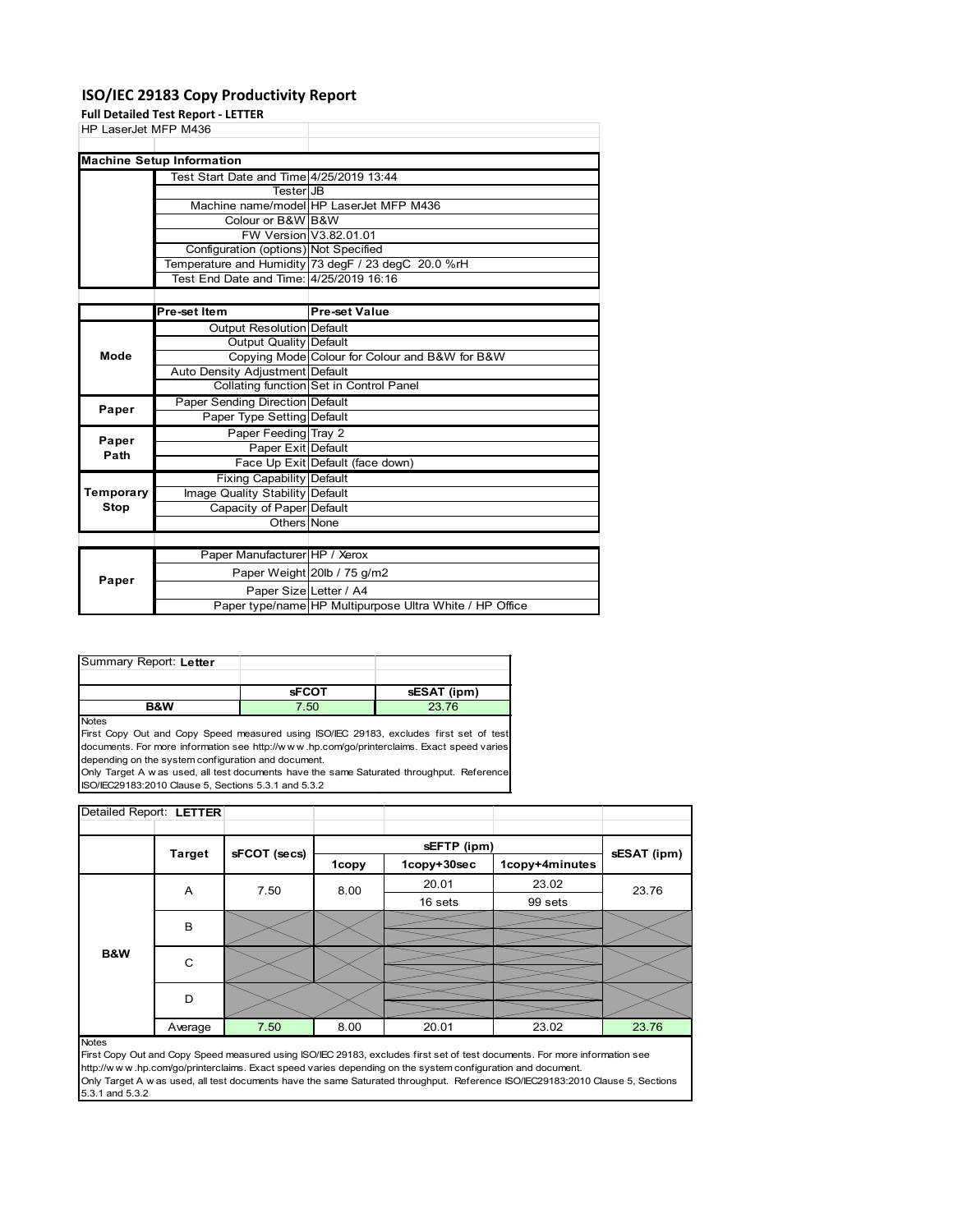## **ISO/IEC 29183 Copy Productivity Report**

**Full Detailed Test Report ‐ LETTER**

| HP LaserJet MFP M436 |                                          |                                                     |
|----------------------|------------------------------------------|-----------------------------------------------------|
|                      |                                          |                                                     |
|                      | <b>Machine Setup Information</b>         |                                                     |
|                      | Test Start Date and Time 4/25/2019 13:44 |                                                     |
|                      | TesterIJB                                |                                                     |
|                      |                                          | Machine name/model HP LaserJet MFP M436             |
| Colour or B&W B&W    |                                          |                                                     |
|                      | FW Version V3.82.01.01                   |                                                     |
|                      | Configuration (options) Not Specified    |                                                     |
|                      |                                          | Temperature and Humidity 73 degF / 23 degC 20.0 %rH |
|                      | Test End Date and Time: 4/25/2019 16:16  |                                                     |
|                      |                                          |                                                     |

|             | Pre-set Item                     | <b>Pre-set Value</b>                                    |
|-------------|----------------------------------|---------------------------------------------------------|
|             | <b>Output Resolution Default</b> |                                                         |
|             | <b>Output Quality Default</b>    |                                                         |
| Mode        |                                  | Copying Mode Colour for Colour and B&W for B&W          |
|             | Auto Density Adjustment Default  |                                                         |
|             |                                  | Collating function Set in Control Panel                 |
| Paper       | Paper Sending Direction Default  |                                                         |
|             | Paper Type Setting Default       |                                                         |
| Paper       | Paper Feeding Tray 2             |                                                         |
| Path        | Paper Exit Default               |                                                         |
|             |                                  | Face Up Exit Default (face down)                        |
|             | <b>Fixing Capability Default</b> |                                                         |
| Temporary   | Image Quality Stability Default  |                                                         |
| <b>Stop</b> | Capacity of Paper Default        |                                                         |
|             | Others None                      |                                                         |
|             |                                  |                                                         |
|             | Paper Manufacturer HP / Xerox    |                                                         |
| Paper       |                                  | Paper Weight 20lb / 75 g/m2                             |
|             | Paper Size Letter / A4           |                                                         |
|             |                                  | Paper type/name HP Multipurpose Ultra White / HP Office |

| Summary Report: Letter |              |             |
|------------------------|--------------|-------------|
|                        |              |             |
|                        | <b>SFCOT</b> | sESAT (ipm) |
| <b>B&amp;W</b>         | 7.50         | 23.76       |

Notes

First Copy Out and Copy Speed measured using ISO/IEC 29183, excludes first set of test documents. For more information see http://w w w .hp.com/go/printerclaims. Exact speed varies depending on the system configuration and document.

Only Target A w as used, all test documents have the same Saturated throughput. Reference ISO/IEC29183:2010 Clause 5, Sections 5.3.1 and 5.3.2

| Detailed Report: LETTER |               |              |             |             |                |             |
|-------------------------|---------------|--------------|-------------|-------------|----------------|-------------|
|                         |               |              |             |             |                |             |
|                         | <b>Target</b> | sFCOT (secs) | sEFTP (ipm) |             |                | sESAT (ipm) |
|                         |               |              | 1copy       | 1copy+30sec | 1copy+4minutes |             |
|                         | A             | 7.50         | 8.00        | 20.01       | 23.02          | 23.76       |
|                         |               |              |             | 16 sets     | 99 sets        |             |
|                         | B             |              |             |             |                |             |
| <b>B&amp;W</b>          |               |              |             |             |                |             |
|                         | C             |              |             |             |                |             |
|                         |               |              |             |             |                |             |
|                         | D             |              |             |             |                |             |
|                         |               |              |             |             |                |             |
|                         | Average       | 7.50         | 8.00        | 20.01       | 23.02          | 23.76       |

#### Notes

First Copy Out and Copy Speed measured using ISO/IEC 29183, excludes first set of test documents. For more information see http://w w w .hp.com/go/printerclaims. Exact speed varies depending on the system configuration and document. Only Target A w as used, all test documents have the same Saturated throughput. Reference ISO/IEC29183:2010 Clause 5, Sections 5.3.1 and 5.3.2